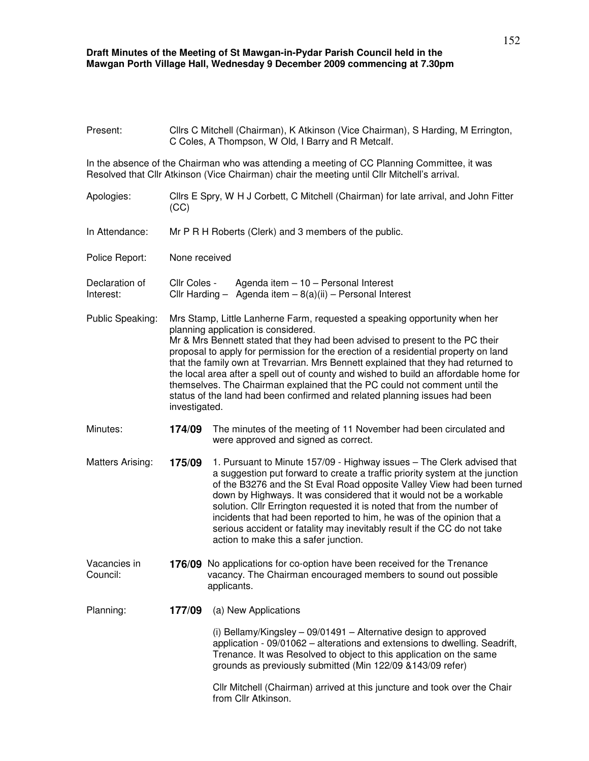## **Draft Minutes of the Meeting of St Mawgan-in-Pydar Parish Council held in the Mawgan Porth Village Hall, Wednesday 9 December 2009 commencing at 7.30pm**

| Present:                    | Cllrs C Mitchell (Chairman), K Atkinson (Vice Chairman), S Harding, M Errington,<br>C Coles, A Thompson, W Old, I Barry and R Metcalf.                                                                                                                                                                                                                                                                                                                                                                                                                                                                                                                |                                                                                                                                                                                                                                                                                                                                                                                                                                                                                                                                                                                 |  |
|-----------------------------|-------------------------------------------------------------------------------------------------------------------------------------------------------------------------------------------------------------------------------------------------------------------------------------------------------------------------------------------------------------------------------------------------------------------------------------------------------------------------------------------------------------------------------------------------------------------------------------------------------------------------------------------------------|---------------------------------------------------------------------------------------------------------------------------------------------------------------------------------------------------------------------------------------------------------------------------------------------------------------------------------------------------------------------------------------------------------------------------------------------------------------------------------------------------------------------------------------------------------------------------------|--|
|                             |                                                                                                                                                                                                                                                                                                                                                                                                                                                                                                                                                                                                                                                       | In the absence of the Chairman who was attending a meeting of CC Planning Committee, it was<br>Resolved that Cllr Atkinson (Vice Chairman) chair the meeting until Cllr Mitchell's arrival.                                                                                                                                                                                                                                                                                                                                                                                     |  |
| Apologies:                  | Cllrs E Spry, W H J Corbett, C Mitchell (Chairman) for late arrival, and John Fitter<br>(CC)                                                                                                                                                                                                                                                                                                                                                                                                                                                                                                                                                          |                                                                                                                                                                                                                                                                                                                                                                                                                                                                                                                                                                                 |  |
| In Attendance:              | Mr P R H Roberts (Clerk) and 3 members of the public.                                                                                                                                                                                                                                                                                                                                                                                                                                                                                                                                                                                                 |                                                                                                                                                                                                                                                                                                                                                                                                                                                                                                                                                                                 |  |
| Police Report:              | None received                                                                                                                                                                                                                                                                                                                                                                                                                                                                                                                                                                                                                                         |                                                                                                                                                                                                                                                                                                                                                                                                                                                                                                                                                                                 |  |
| Declaration of<br>Interest: | Cllr Coles -<br>Agenda item $-10$ – Personal Interest<br>Cllr Harding - Agenda item $-8(a)(ii)$ - Personal Interest                                                                                                                                                                                                                                                                                                                                                                                                                                                                                                                                   |                                                                                                                                                                                                                                                                                                                                                                                                                                                                                                                                                                                 |  |
| Public Speaking:            | Mrs Stamp, Little Lanherne Farm, requested a speaking opportunity when her<br>planning application is considered.<br>Mr & Mrs Bennett stated that they had been advised to present to the PC their<br>proposal to apply for permission for the erection of a residential property on land<br>that the family own at Trevarrian. Mrs Bennett explained that they had returned to<br>the local area after a spell out of county and wished to build an affordable home for<br>themselves. The Chairman explained that the PC could not comment until the<br>status of the land had been confirmed and related planning issues had been<br>investigated. |                                                                                                                                                                                                                                                                                                                                                                                                                                                                                                                                                                                 |  |
| Minutes:                    | 174/09                                                                                                                                                                                                                                                                                                                                                                                                                                                                                                                                                                                                                                                | The minutes of the meeting of 11 November had been circulated and<br>were approved and signed as correct.                                                                                                                                                                                                                                                                                                                                                                                                                                                                       |  |
| Matters Arising:            | 175/09                                                                                                                                                                                                                                                                                                                                                                                                                                                                                                                                                                                                                                                | 1. Pursuant to Minute 157/09 - Highway issues - The Clerk advised that<br>a suggestion put forward to create a traffic priority system at the junction<br>of the B3276 and the St Eval Road opposite Valley View had been turned<br>down by Highways. It was considered that it would not be a workable<br>solution. Cllr Errington requested it is noted that from the number of<br>incidents that had been reported to him, he was of the opinion that a<br>serious accident or fatality may inevitably result if the CC do not take<br>action to make this a safer junction. |  |
| Vacancies in<br>Council:    |                                                                                                                                                                                                                                                                                                                                                                                                                                                                                                                                                                                                                                                       | 176/09 No applications for co-option have been received for the Trenance<br>vacancy. The Chairman encouraged members to sound out possible<br>applicants.                                                                                                                                                                                                                                                                                                                                                                                                                       |  |
| Planning:                   | 177/09                                                                                                                                                                                                                                                                                                                                                                                                                                                                                                                                                                                                                                                | (a) New Applications                                                                                                                                                                                                                                                                                                                                                                                                                                                                                                                                                            |  |
|                             |                                                                                                                                                                                                                                                                                                                                                                                                                                                                                                                                                                                                                                                       | (i) Bellamy/Kingsley $-$ 09/01491 $-$ Alternative design to approved<br>application - 09/01062 - alterations and extensions to dwelling. Seadrift,<br>Trenance. It was Resolved to object to this application on the same<br>grounds as previously submitted (Min 122/09 & 143/09 refer)                                                                                                                                                                                                                                                                                        |  |
|                             |                                                                                                                                                                                                                                                                                                                                                                                                                                                                                                                                                                                                                                                       | Cllr Mitchell (Chairman) arrived at this juncture and took over the Chair<br>from Cllr Atkinson.                                                                                                                                                                                                                                                                                                                                                                                                                                                                                |  |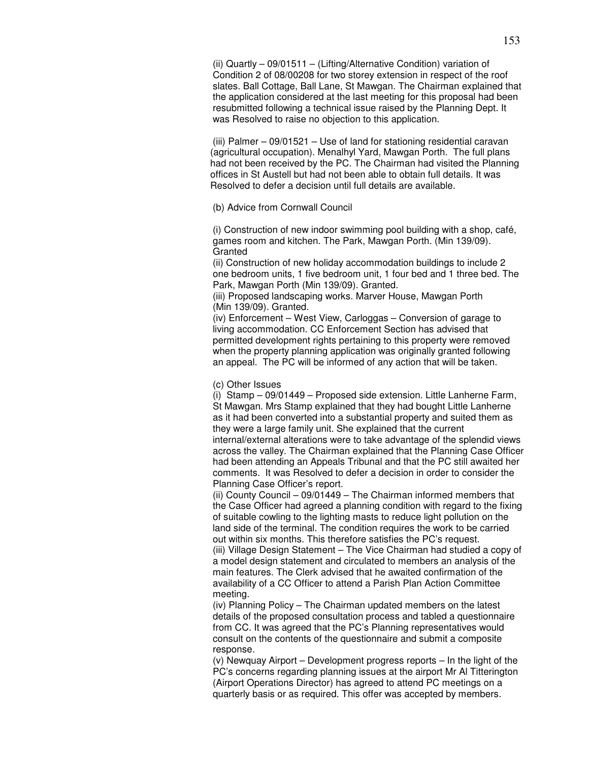(ii) Quartly – 09/01511 – (Lifting/Alternative Condition) variation of Condition 2 of 08/00208 for two storey extension in respect of the roof slates. Ball Cottage, Ball Lane, St Mawgan. The Chairman explained that the application considered at the last meeting for this proposal had been resubmitted following a technical issue raised by the Planning Dept. It was Resolved to raise no objection to this application.

(iii) Palmer – 09/01521 – Use of land for stationing residential caravan (agricultural occupation). Menalhyl Yard, Mawgan Porth. The full plans had not been received by the PC. The Chairman had visited the Planning offices in St Austell but had not been able to obtain full details. It was Resolved to defer a decision until full details are available.

## (b) Advice from Cornwall Council

(i) Construction of new indoor swimming pool building with a shop, café, games room and kitchen. The Park, Mawgan Porth. (Min 139/09). **Granted** 

(ii) Construction of new holiday accommodation buildings to include 2 one bedroom units, 1 five bedroom unit, 1 four bed and 1 three bed. The Park, Mawgan Porth (Min 139/09). Granted.

(iii) Proposed landscaping works. Marver House, Mawgan Porth (Min 139/09). Granted.

(iv) Enforcement – West View, Carloggas – Conversion of garage to living accommodation. CC Enforcement Section has advised that permitted development rights pertaining to this property were removed when the property planning application was originally granted following an appeal. The PC will be informed of any action that will be taken.

## (c) Other Issues

(i) Stamp – 09/01449 – Proposed side extension. Little Lanherne Farm, St Mawgan. Mrs Stamp explained that they had bought Little Lanherne as it had been converted into a substantial property and suited them as they were a large family unit. She explained that the current internal/external alterations were to take advantage of the splendid views across the valley. The Chairman explained that the Planning Case Officer had been attending an Appeals Tribunal and that the PC still awaited her comments. It was Resolved to defer a decision in order to consider the Planning Case Officer's report.

(ii) County Council – 09/01449 – The Chairman informed members that the Case Officer had agreed a planning condition with regard to the fixing of suitable cowling to the lighting masts to reduce light pollution on the land side of the terminal. The condition requires the work to be carried out within six months. This therefore satisfies the PC's request. (iii) Village Design Statement – The Vice Chairman had studied a copy of a model design statement and circulated to members an analysis of the main features. The Clerk advised that he awaited confirmation of the availability of a CC Officer to attend a Parish Plan Action Committee meeting.

(iv) Planning Policy – The Chairman updated members on the latest details of the proposed consultation process and tabled a questionnaire from CC. It was agreed that the PC's Planning representatives would consult on the contents of the questionnaire and submit a composite response.

(v) Newquay Airport – Development progress reports – In the light of the PC's concerns regarding planning issues at the airport Mr Al Titterington (Airport Operations Director) has agreed to attend PC meetings on a quarterly basis or as required. This offer was accepted by members.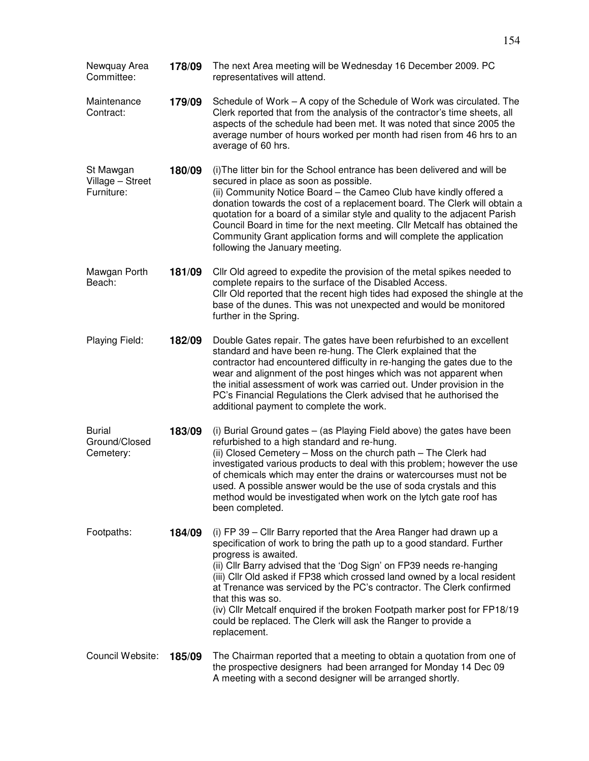| Newquay Area<br>Committee:                  | 178/09 | The next Area meeting will be Wednesday 16 December 2009. PC<br>representatives will attend.                                                                                                                                                                                                                                                                                                                                                                                                                                                                                          |
|---------------------------------------------|--------|---------------------------------------------------------------------------------------------------------------------------------------------------------------------------------------------------------------------------------------------------------------------------------------------------------------------------------------------------------------------------------------------------------------------------------------------------------------------------------------------------------------------------------------------------------------------------------------|
| Maintenance<br>Contract:                    | 179/09 | Schedule of Work – A copy of the Schedule of Work was circulated. The<br>Clerk reported that from the analysis of the contractor's time sheets, all<br>aspects of the schedule had been met. It was noted that since 2005 the<br>average number of hours worked per month had risen from 46 hrs to an<br>average of 60 hrs.                                                                                                                                                                                                                                                           |
| St Mawgan<br>Village - Street<br>Furniture: | 180/09 | (i) The litter bin for the School entrance has been delivered and will be<br>secured in place as soon as possible.<br>(ii) Community Notice Board - the Cameo Club have kindly offered a<br>donation towards the cost of a replacement board. The Clerk will obtain a<br>quotation for a board of a similar style and quality to the adjacent Parish<br>Council Board in time for the next meeting. Cllr Metcalf has obtained the<br>Community Grant application forms and will complete the application<br>following the January meeting.                                            |
| Mawgan Porth<br>Beach:                      | 181/09 | Cllr Old agreed to expedite the provision of the metal spikes needed to<br>complete repairs to the surface of the Disabled Access.<br>Cllr Old reported that the recent high tides had exposed the shingle at the<br>base of the dunes. This was not unexpected and would be monitored<br>further in the Spring.                                                                                                                                                                                                                                                                      |
| Playing Field:                              | 182/09 | Double Gates repair. The gates have been refurbished to an excellent<br>standard and have been re-hung. The Clerk explained that the<br>contractor had encountered difficulty in re-hanging the gates due to the<br>wear and alignment of the post hinges which was not apparent when<br>the initial assessment of work was carried out. Under provision in the<br>PC's Financial Regulations the Clerk advised that he authorised the<br>additional payment to complete the work.                                                                                                    |
| <b>Burial</b><br>Ground/Closed<br>Cemetery: | 183/09 | (i) Burial Ground gates – (as Playing Field above) the gates have been<br>refurbished to a high standard and re-hung.<br>(ii) Closed Cemetery - Moss on the church path - The Clerk had<br>investigated various products to deal with this problem; however the use<br>of chemicals which may enter the drains or watercourses must not be<br>used. A possible answer would be the use of soda crystals and this<br>method would be investigated when work on the lytch gate roof has<br>been completed.                                                                              |
| Footpaths:                                  | 184/09 | (i) FP 39 - Cllr Barry reported that the Area Ranger had drawn up a<br>specification of work to bring the path up to a good standard. Further<br>progress is awaited.<br>(ii) Cllr Barry advised that the 'Dog Sign' on FP39 needs re-hanging<br>(iii) Cllr Old asked if FP38 which crossed land owned by a local resident<br>at Trenance was serviced by the PC's contractor. The Clerk confirmed<br>that this was so.<br>(iv) Cllr Metcalf enquired if the broken Footpath marker post for FP18/19<br>could be replaced. The Clerk will ask the Ranger to provide a<br>replacement. |
| Council Website:                            | 185/09 | The Chairman reported that a meeting to obtain a quotation from one of<br>the prospective designers had been arranged for Monday 14 Dec 09<br>A meeting with a second designer will be arranged shortly.                                                                                                                                                                                                                                                                                                                                                                              |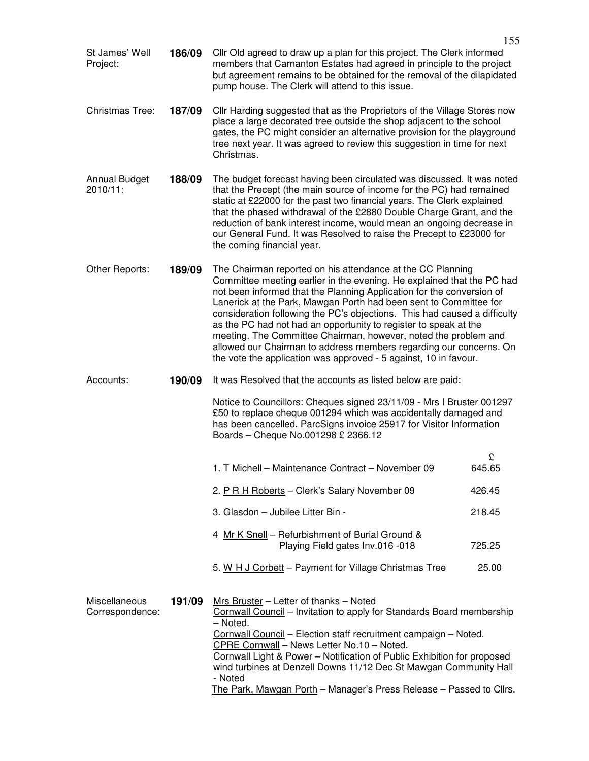| St James' Well<br>Project:       | 186/09 | Cllr Old agreed to draw up a plan for this project. The Clerk informed<br>members that Carnanton Estates had agreed in principle to the project<br>but agreement remains to be obtained for the removal of the dilapidated<br>pump house. The Clerk will attend to this issue.                                                                                                                                                                                                                                                                                                                                                                   |             |
|----------------------------------|--------|--------------------------------------------------------------------------------------------------------------------------------------------------------------------------------------------------------------------------------------------------------------------------------------------------------------------------------------------------------------------------------------------------------------------------------------------------------------------------------------------------------------------------------------------------------------------------------------------------------------------------------------------------|-------------|
| <b>Christmas Tree:</b>           | 187/09 | CIIr Harding suggested that as the Proprietors of the Village Stores now<br>place a large decorated tree outside the shop adjacent to the school<br>gates, the PC might consider an alternative provision for the playground<br>tree next year. It was agreed to review this suggestion in time for next<br>Christmas.                                                                                                                                                                                                                                                                                                                           |             |
| <b>Annual Budget</b><br>2010/11: | 188/09 | The budget forecast having been circulated was discussed. It was noted<br>that the Precept (the main source of income for the PC) had remained<br>static at £22000 for the past two financial years. The Clerk explained<br>that the phased withdrawal of the £2880 Double Charge Grant, and the<br>reduction of bank interest income, would mean an ongoing decrease in<br>our General Fund. It was Resolved to raise the Precept to £23000 for<br>the coming financial year.                                                                                                                                                                   |             |
| Other Reports:                   | 189/09 | The Chairman reported on his attendance at the CC Planning<br>Committee meeting earlier in the evening. He explained that the PC had<br>not been informed that the Planning Application for the conversion of<br>Lanerick at the Park, Mawgan Porth had been sent to Committee for<br>consideration following the PC's objections. This had caused a difficulty<br>as the PC had not had an opportunity to register to speak at the<br>meeting. The Committee Chairman, however, noted the problem and<br>allowed our Chairman to address members regarding our concerns. On<br>the vote the application was approved - 5 against, 10 in favour. |             |
| Accounts:                        | 190/09 | It was Resolved that the accounts as listed below are paid:                                                                                                                                                                                                                                                                                                                                                                                                                                                                                                                                                                                      |             |
|                                  |        | Notice to Councillors: Cheques signed 23/11/09 - Mrs I Bruster 001297<br>£50 to replace cheque 001294 which was accidentally damaged and<br>has been cancelled. ParcSigns invoice 25917 for Visitor Information<br>Boards - Cheque No.001298 £ 2366.12                                                                                                                                                                                                                                                                                                                                                                                           |             |
|                                  |        | 1. T Michell - Maintenance Contract - November 09                                                                                                                                                                                                                                                                                                                                                                                                                                                                                                                                                                                                | £<br>645.65 |
|                                  |        | 2. P R H Roberts - Clerk's Salary November 09                                                                                                                                                                                                                                                                                                                                                                                                                                                                                                                                                                                                    | 426.45      |
|                                  |        | 3. Glasdon - Jubilee Litter Bin -                                                                                                                                                                                                                                                                                                                                                                                                                                                                                                                                                                                                                | 218.45      |
|                                  |        | 4 Mr K Snell - Refurbishment of Burial Ground &<br>Playing Field gates Inv.016 -018                                                                                                                                                                                                                                                                                                                                                                                                                                                                                                                                                              | 725.25      |
|                                  |        | 5. W H J Corbett - Payment for Village Christmas Tree                                                                                                                                                                                                                                                                                                                                                                                                                                                                                                                                                                                            | 25.00       |
| Miscellaneous<br>Correspondence: | 191/09 | Mrs Bruster - Letter of thanks - Noted<br>Cornwall Council - Invitation to apply for Standards Board membership<br>- Noted.<br>Cornwall Council - Election staff recruitment campaign - Noted.<br>CPRE Cornwall - News Letter No.10 - Noted.<br>Cornwall Light & Power - Notification of Public Exhibition for proposed<br>wind turbines at Denzell Downs 11/12 Dec St Mawgan Community Hall<br>- Noted<br>The Park, Mawgan Porth - Manager's Press Release - Passed to Cllrs.                                                                                                                                                                   |             |